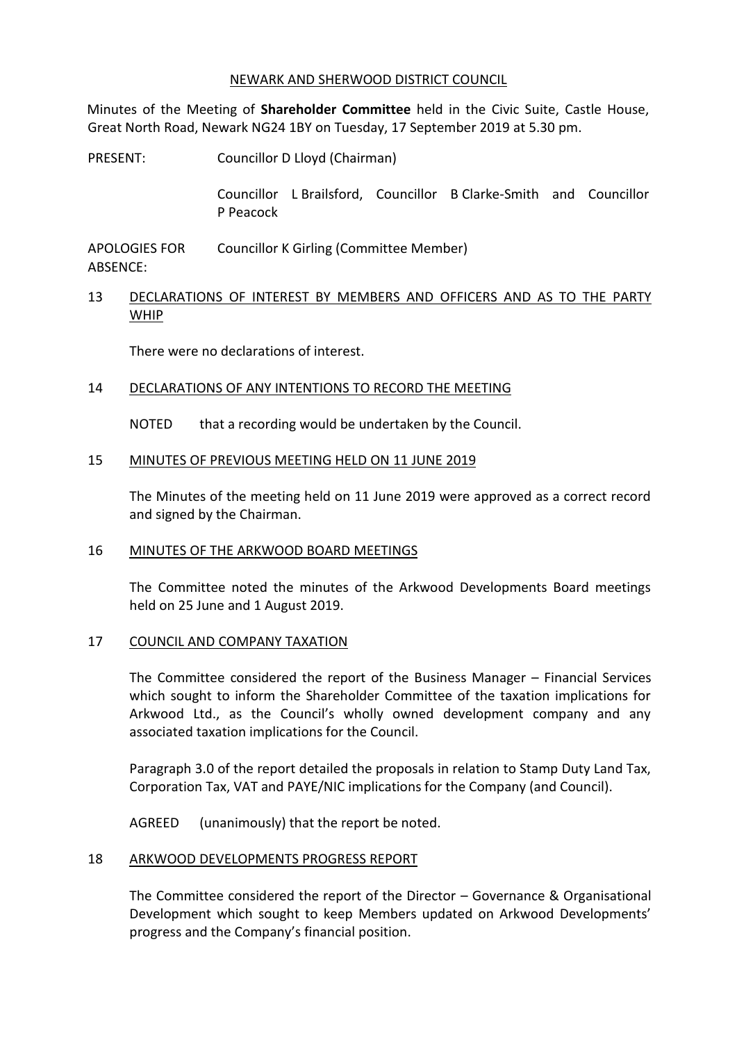#### NEWARK AND SHERWOOD DISTRICT COUNCIL

Minutes of the Meeting of **Shareholder Committee** held in the Civic Suite, Castle House, Great North Road, Newark NG24 1BY on Tuesday, 17 September 2019 at 5.30 pm.

PRESENT: Councillor D Lloyd (Chairman)

Councillor L Brailsford, Councillor B Clarke-Smith and Councillor P Peacock

APOLOGIES FOR ABSENCE: Councillor K Girling (Committee Member)

13 DECLARATIONS OF INTEREST BY MEMBERS AND OFFICERS AND AS TO THE PARTY WHIP

There were no declarations of interest.

## 14 DECLARATIONS OF ANY INTENTIONS TO RECORD THE MEETING

NOTED that a recording would be undertaken by the Council.

## 15 MINUTES OF PREVIOUS MEETING HELD ON 11 JUNE 2019

The Minutes of the meeting held on 11 June 2019 were approved as a correct record and signed by the Chairman.

## 16 MINUTES OF THE ARKWOOD BOARD MEETINGS

The Committee noted the minutes of the Arkwood Developments Board meetings held on 25 June and 1 August 2019.

## 17 COUNCIL AND COMPANY TAXATION

The Committee considered the report of the Business Manager – Financial Services which sought to inform the Shareholder Committee of the taxation implications for Arkwood Ltd., as the Council's wholly owned development company and any associated taxation implications for the Council.

Paragraph 3.0 of the report detailed the proposals in relation to Stamp Duty Land Tax, Corporation Tax, VAT and PAYE/NIC implications for the Company (and Council).

AGREED (unanimously) that the report be noted.

## 18 ARKWOOD DEVELOPMENTS PROGRESS REPORT

The Committee considered the report of the Director – Governance & Organisational Development which sought to keep Members updated on Arkwood Developments' progress and the Company's financial position.